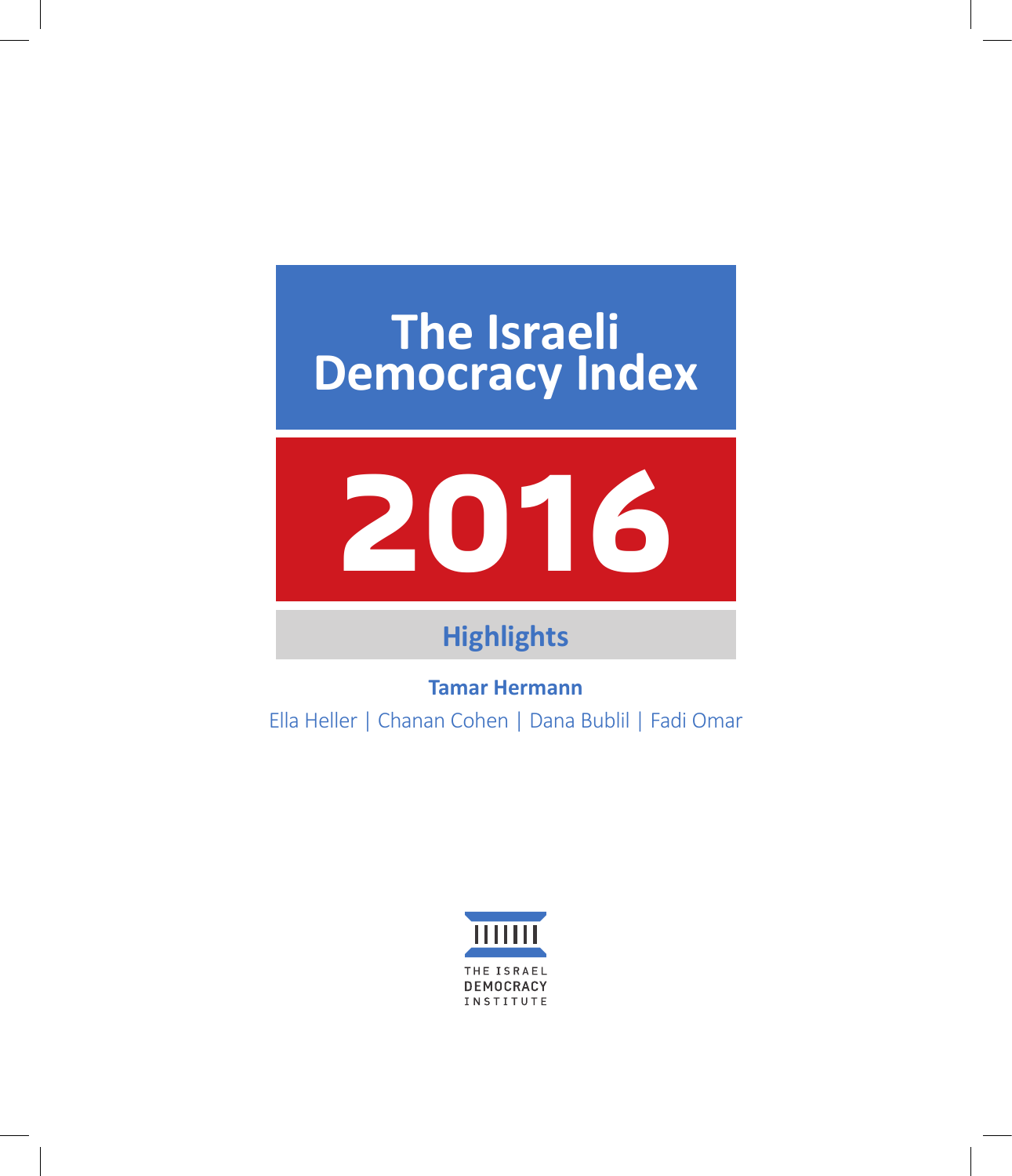# **The Israeli Democracy Index**



## **Highlights**

**Tamar Hermann** Ella Heller | Chanan Cohen | Dana Bublil | Fadi Omar

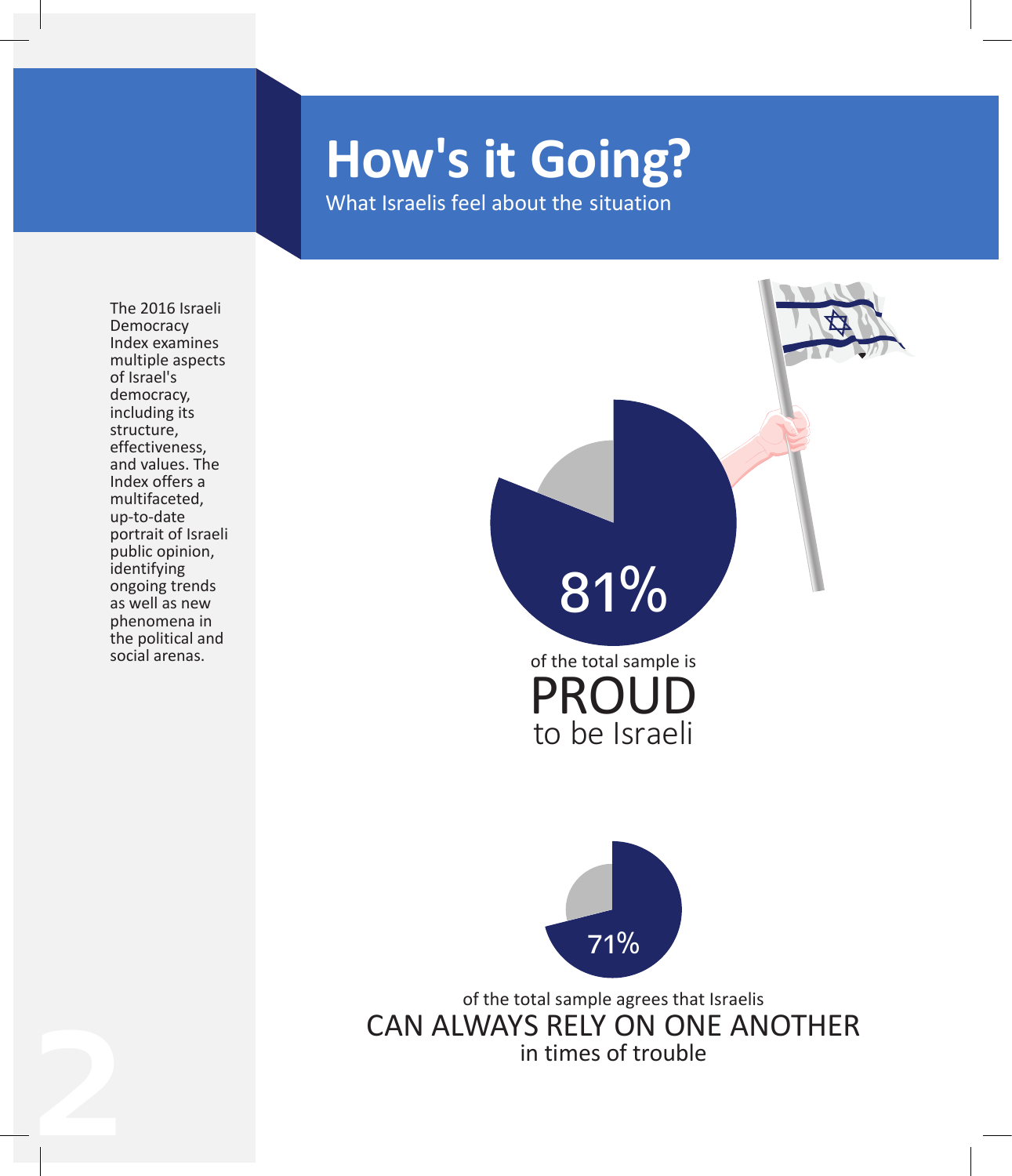# **How's it Going?**

What Israelis feel about the situation

The 2016 Israeli Democracy Index examines multiple aspects of Israel's democracy, including its structure, effectiveness, and values. The Index offers a multifaceted, up-to-date portrait of Israeli public opinion, identifying ongoing trends as well as new phenomena in the political and social arenas.

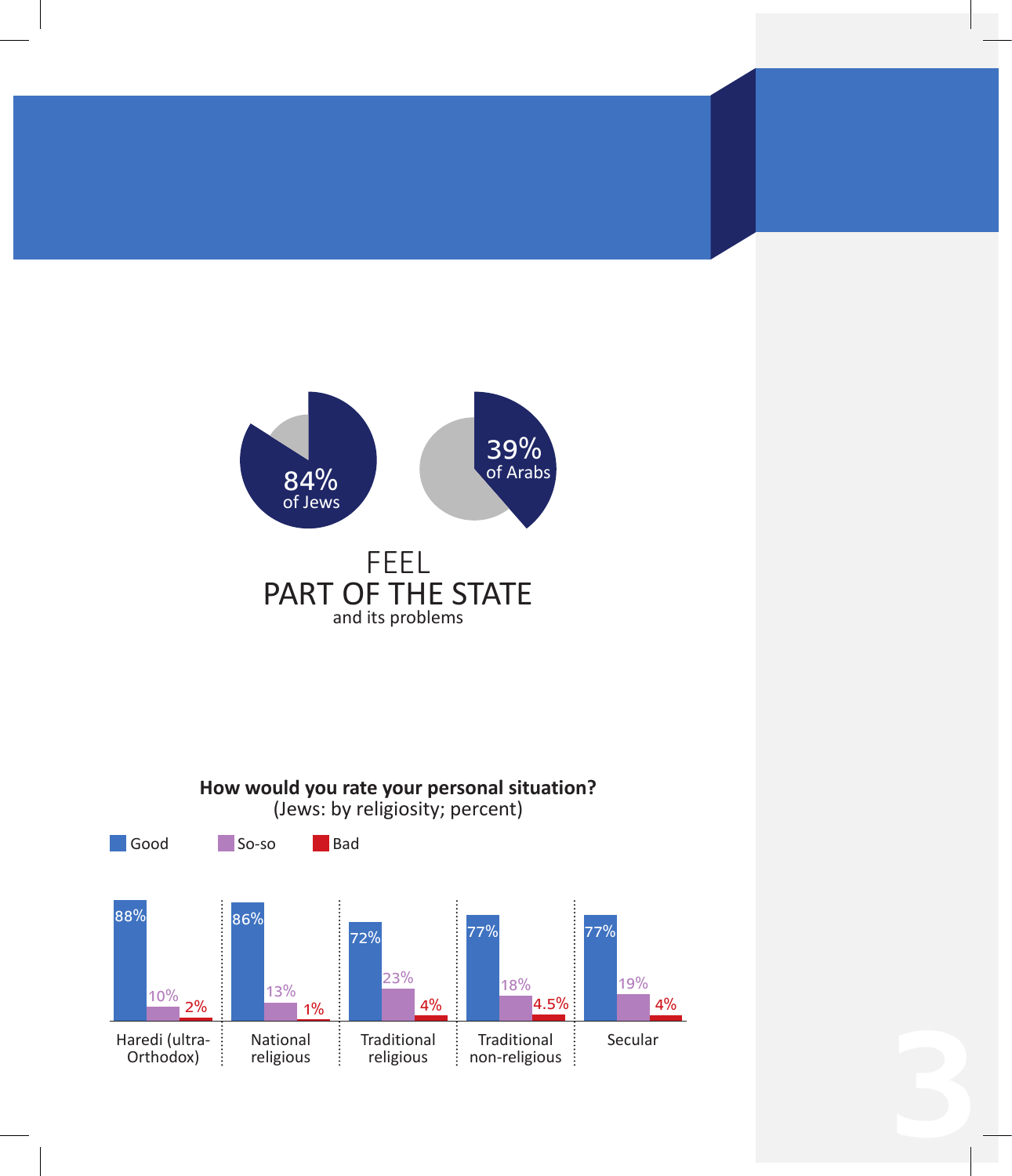

religious

÷

4%

Orthodox)

88%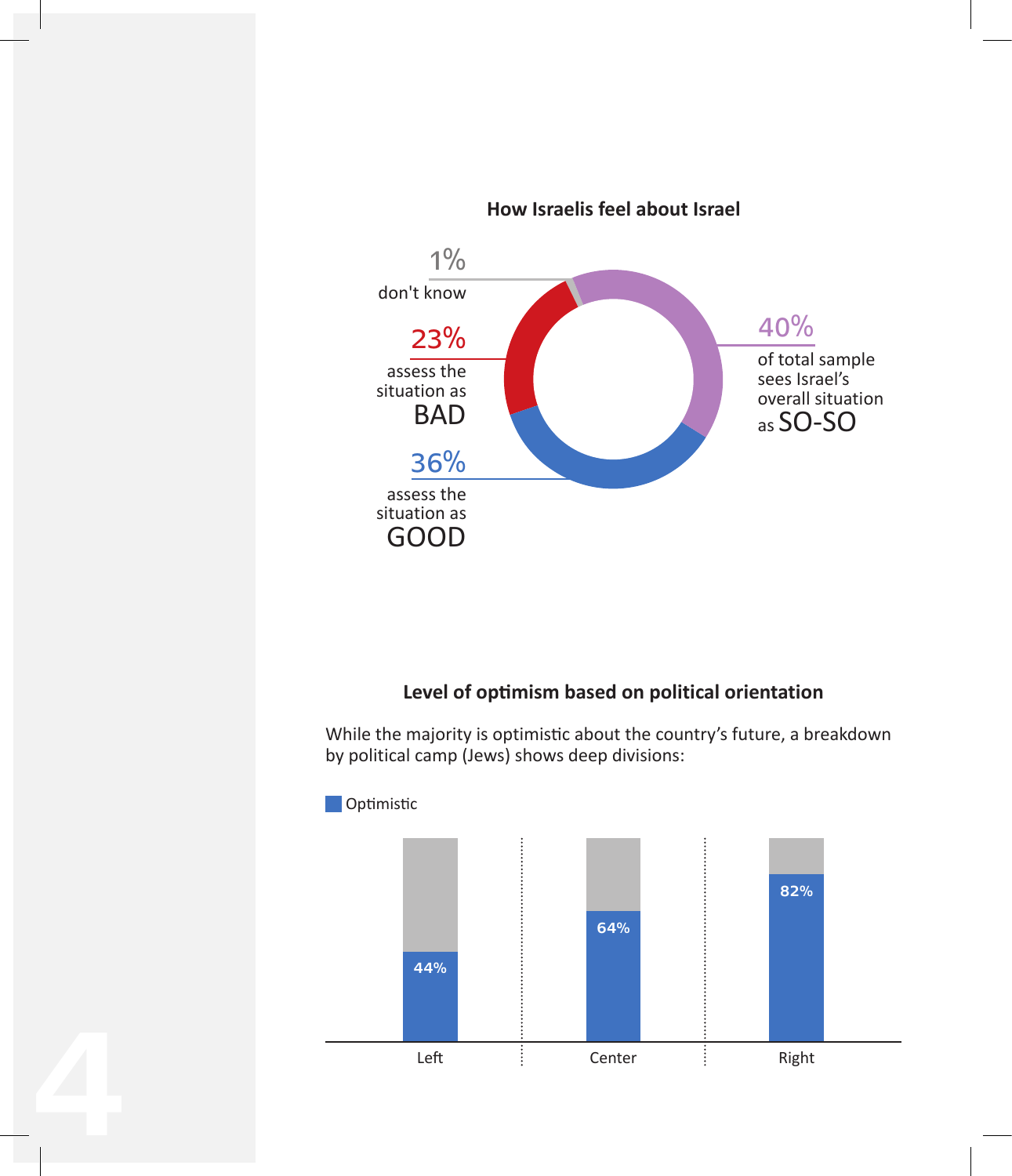

## **Level of optimism based on political orientation**

While the majority is optimistic about the country's future, a breakdown by political camp (Jews) shows deep divisions:

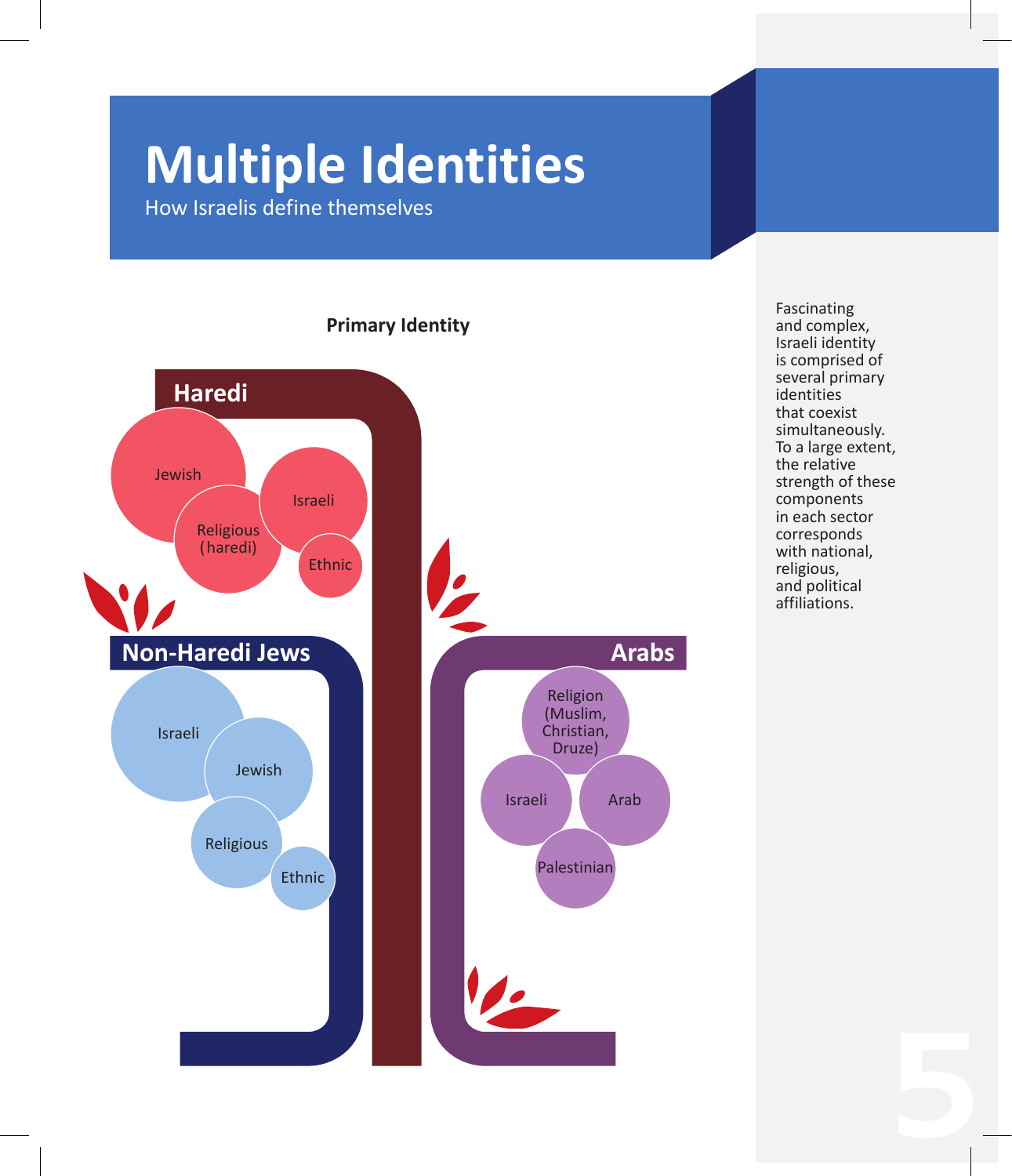# **Multiple Identities**

How Israelis define themselves



Fascinating and complex, Israeli identity is comprised of several primary identities that coexist simultaneously. To a large extent, the relative strength of these components in each sector corresponds with national, religious, and political affiliations.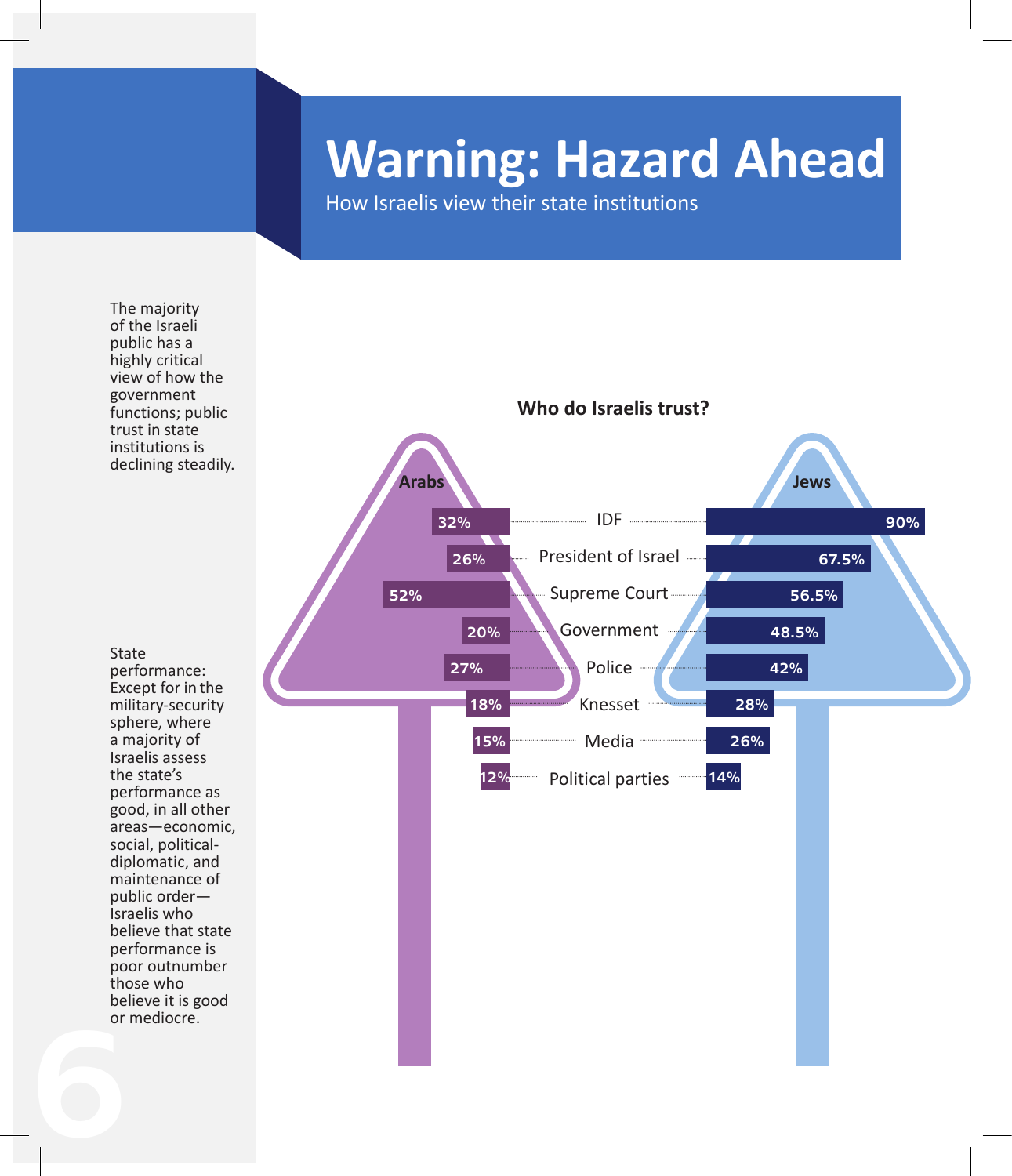# **Warning: Hazard Ahead**

How Israelis view their state institutions

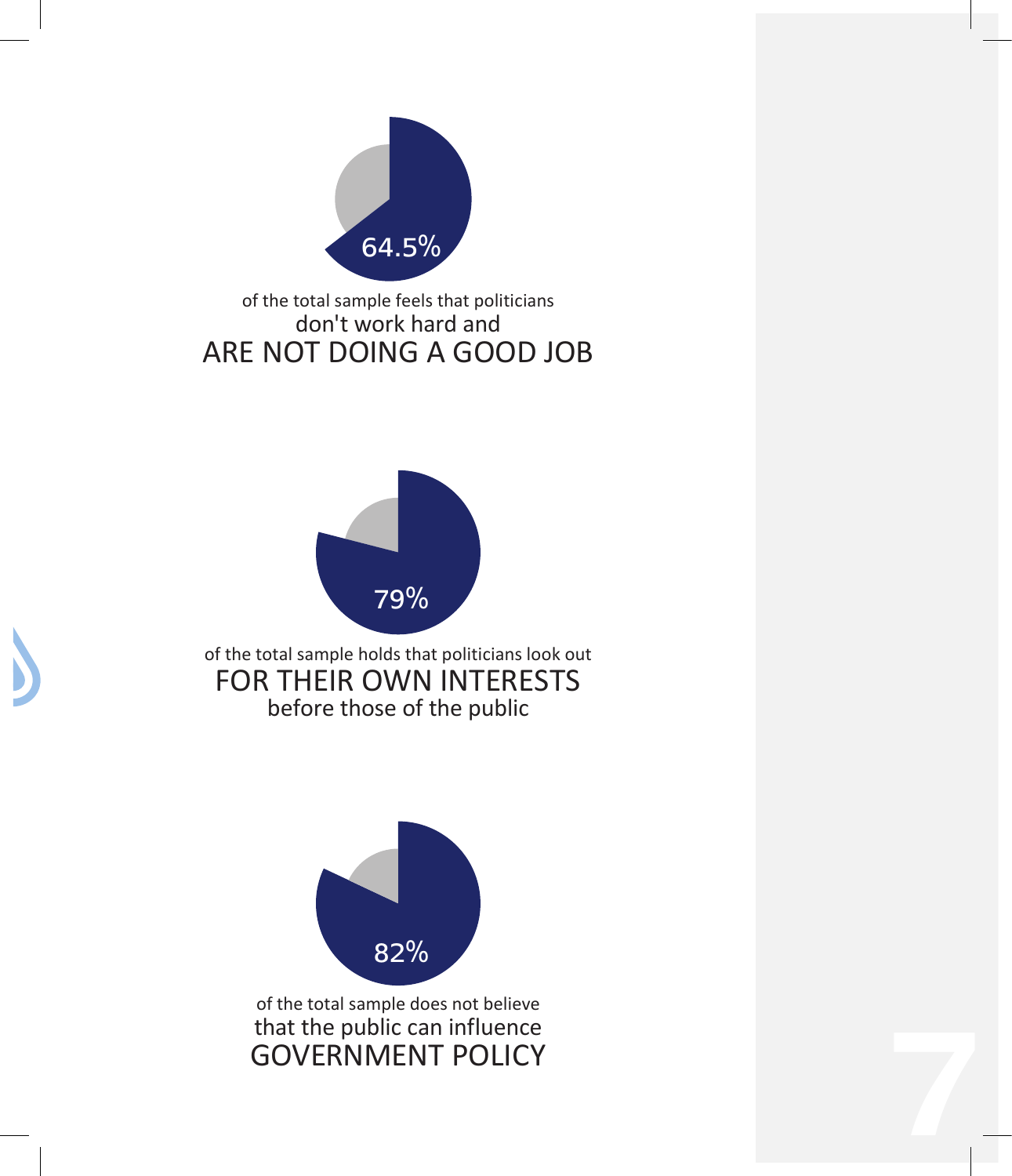

## of the total sample feels that politicians don't work hard and ARE NOT DOING A GOOD JOB



of the total sample holds that politicians look out FOR THEIR OWN INTERESTS before those of the public



of the total sample does not believe that the public can influence GOVERNMENT POLICY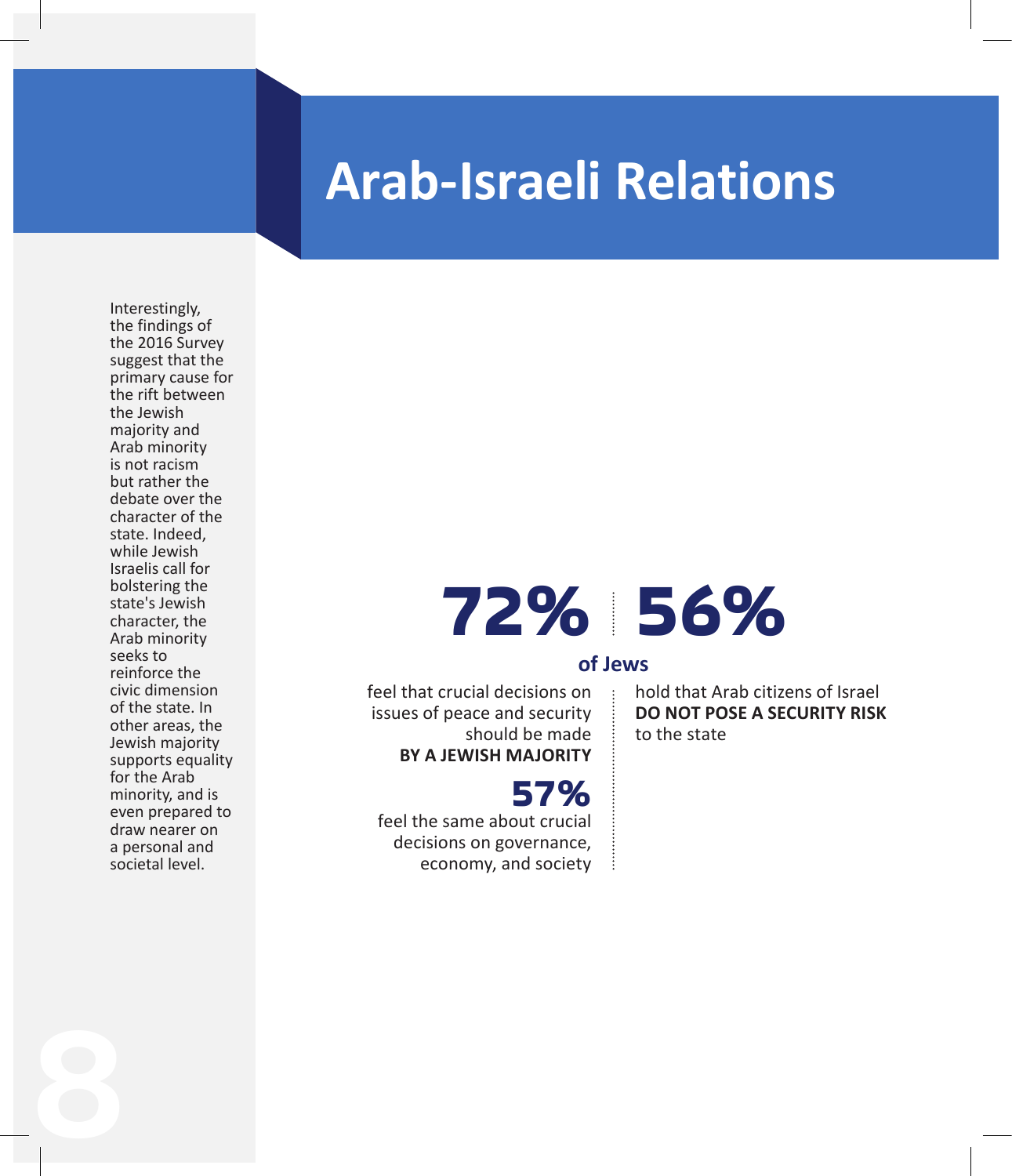# **Arab-Israeli Relations**

Interestingly, the findings of the 2016 Survey suggest that the primary cause for the rift between the Jewish majority and Arab minority is not racism but rather the debate over the character of the state. Indeed, while Jewish Israelis call for bolstering the state's Jewish character, the Arab minority seeks to reinforce the civic dimension of the state. In other areas, the Jewish majority supports equality for the Arab minority, and is even prepared to draw nearer on a personal and societal level.

8

# **56% 72%**

## **of Jews**

feel that crucial decisions on issues of peace and security should be made **BY A JEWISH MAJORITY**

**57%** feel the same about crucial decisions on governance, economy, and society hold that Arab citizens of Israel **DO NOT POSE A SECURITY RISK** to the state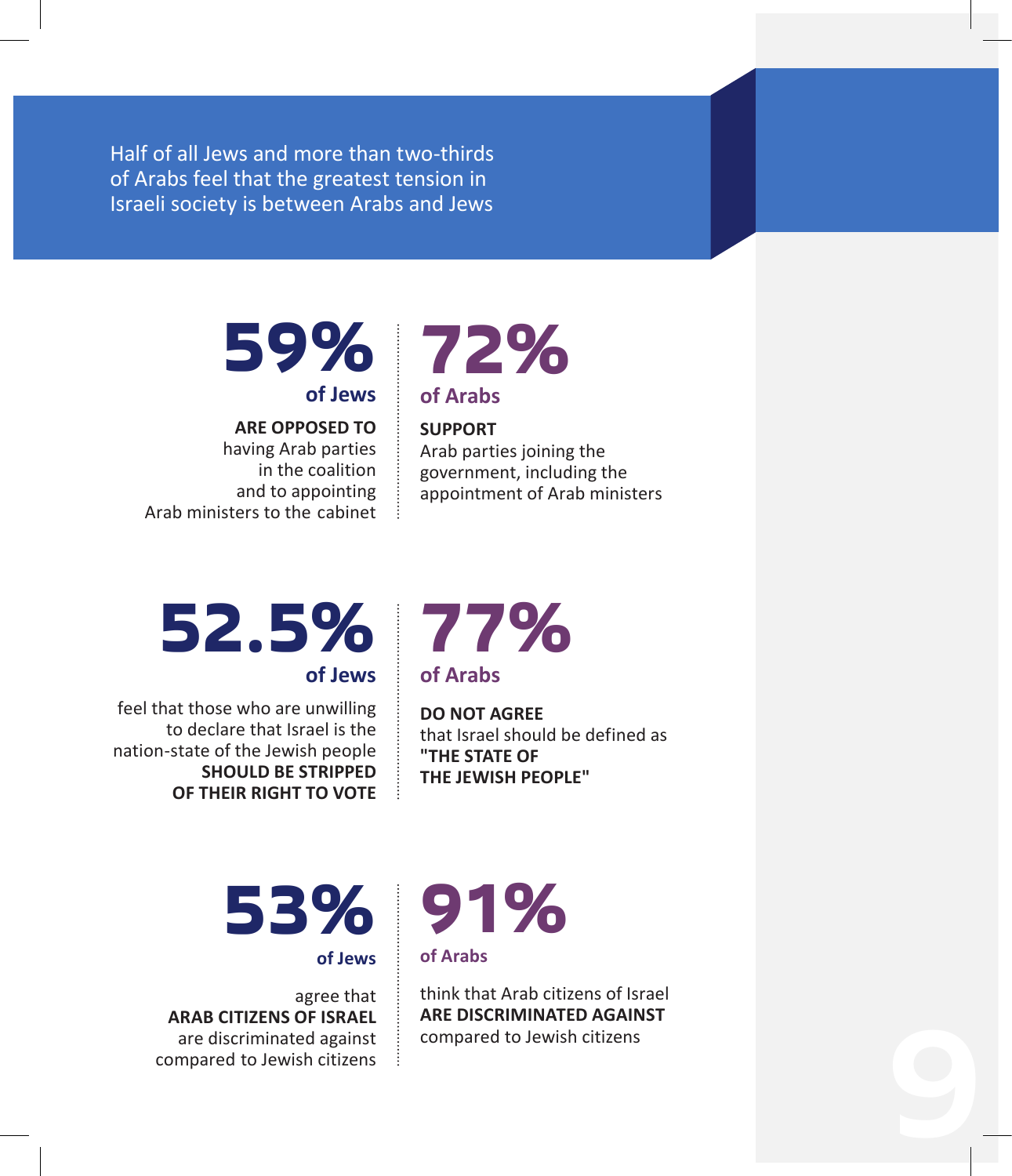Half of all Jews and more than two-thirds of Arabs feel that the greatest tension in Israeli society is between Arabs and Jews

# **59% 72% of Jews**

**ARE OPPOSED TO**  having Arab parties in the coalition and to appointing Arab ministers to the cabinet

# **of Arabs**

#### **SUPPORT**

Arab parties joining the government, including the appointment of Arab ministers

# **52.5% 77%**

**of Jews**

feel that those who are unwilling to declare that Israel is the nation-state of the Jewish people **SHOULD BE STRIPPED OF THEIR RIGHT TO VOTE**

**of Arabs**

**DO NOT AGREE**  that Israel should be defined as **"THE STATE OF THE JEWISH PEOPLE"**

# **53% 91%**

**of Jews**

agree that **ARAB CITIZENS OF ISRAEL**  are discriminated against compared to Jewish citizens

**of Arabs**

think that Arab citizens of Israel **ARE DISCRIMINATED AGAINST** compared to Jewish citizens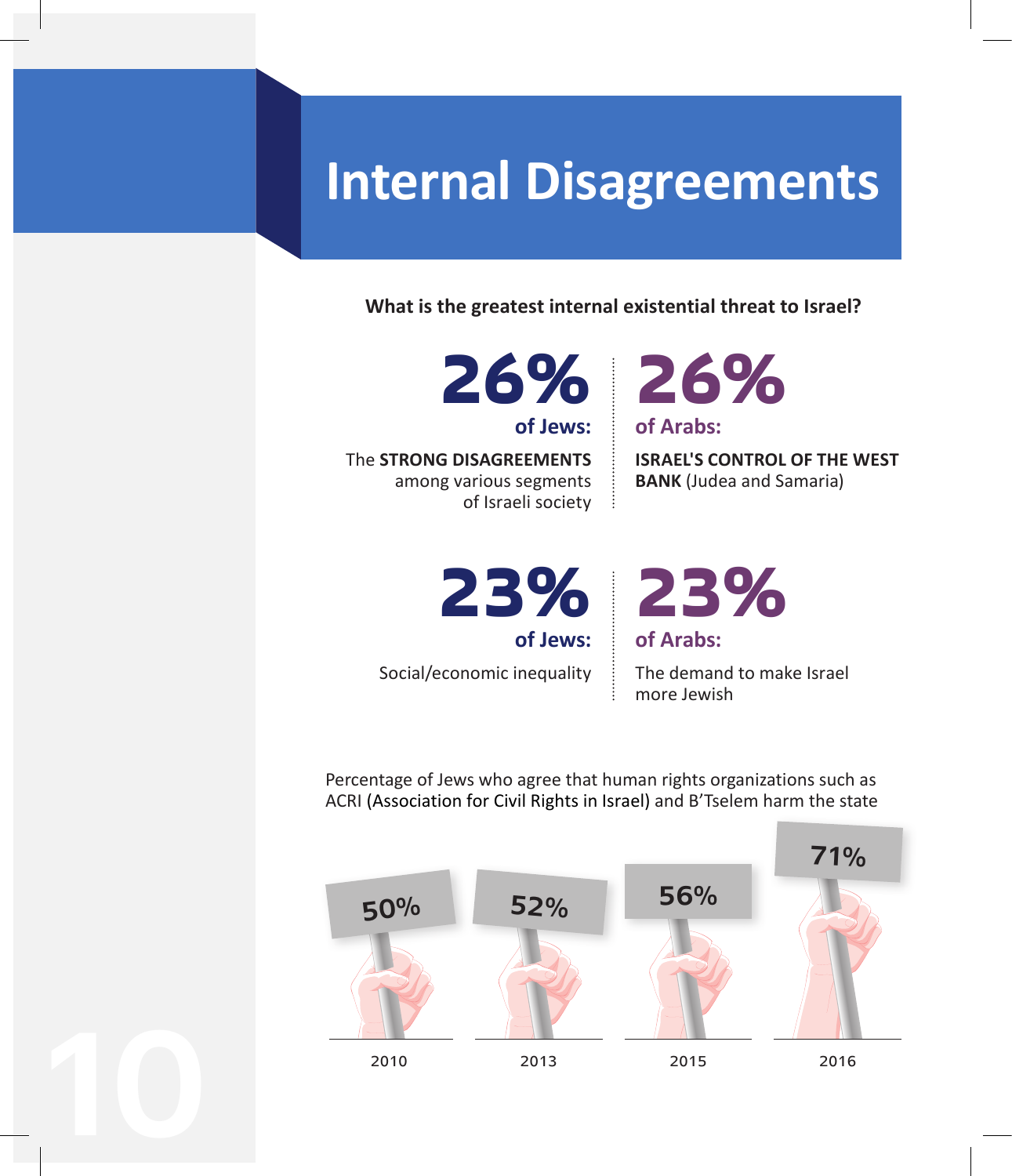# **Internal Disagreements**

**What is the greatest internal existential threat to Israel?**

**of Jews:**

he **STRONG DISAGREEMENTS**  T among various segments of Israeli society



**ISRAEL'S CONTROL OF THE WEST BANK** (Judea and Samaria)

**23% 23% of Jews:**

Social/economic inequality

10

The demand to make Israel more Jewish

**of Arabs:**

Percentage of Jews who agree that human rights organizations such as ACRI (Association for Civil Rights in Israel) and B'Tselem harm the state

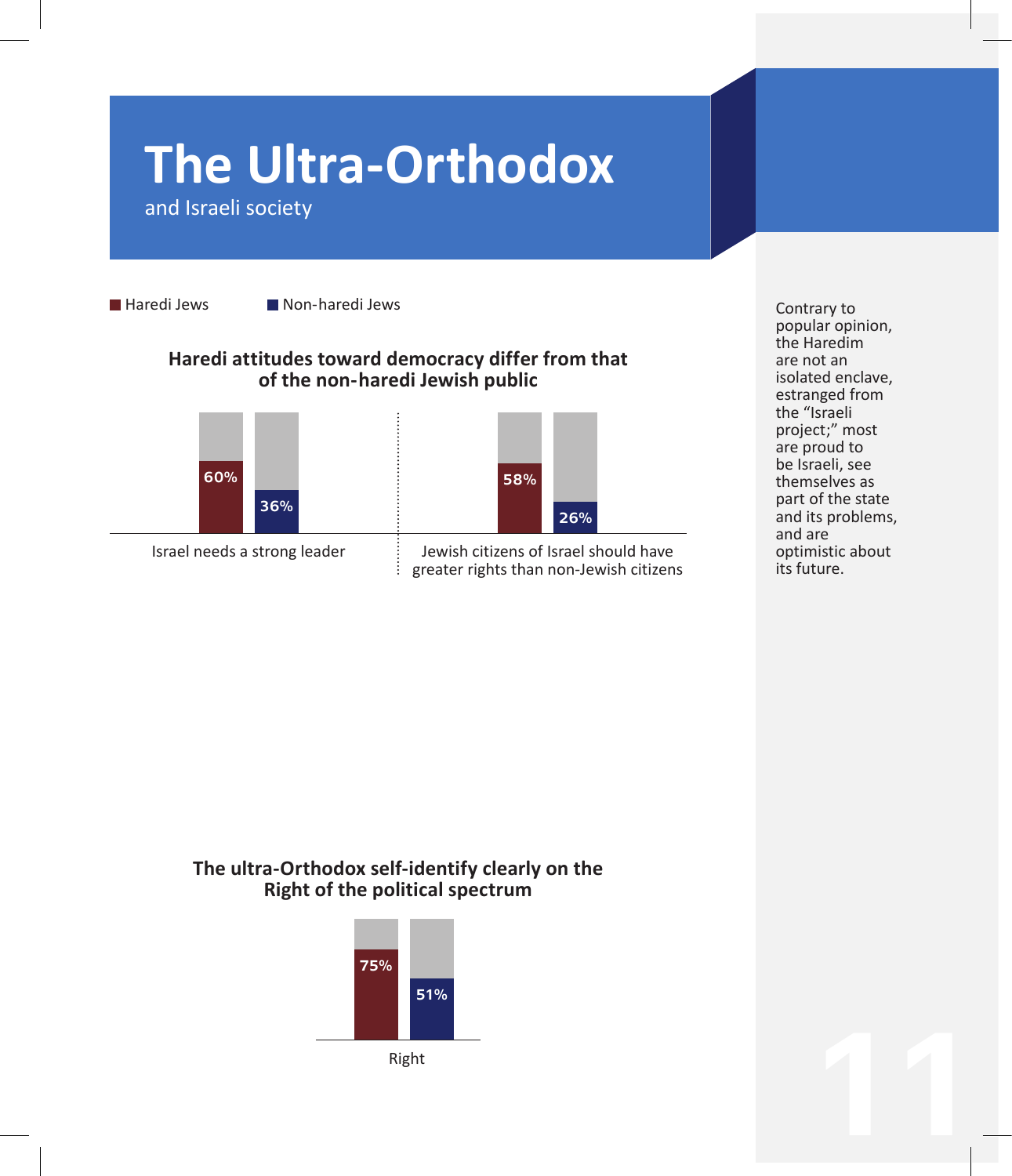# **The Ultra-Orthodox**

and Israeli society

Haredi Jews **Non-haredi Jews** 

#### **Haredi attitudes toward democracy differ from that of the non- aredi Jewish public h**



58% 26%

Israel needs a strong leader  $\vdots$  Jewish citizens of Israel should have<br>greater rights than non-Jewish citizen greater rights than non-Jewish citizens Contrary to popular opinion, the Haredim are not an isolated enclave, estranged from the "Israeli project;" most are proud to be Israeli, see themselves as part of the state and its problems, and are optimistic about its future.

#### **The ultra-Orthodox self-identify clearly on the Right of the political spectrum**

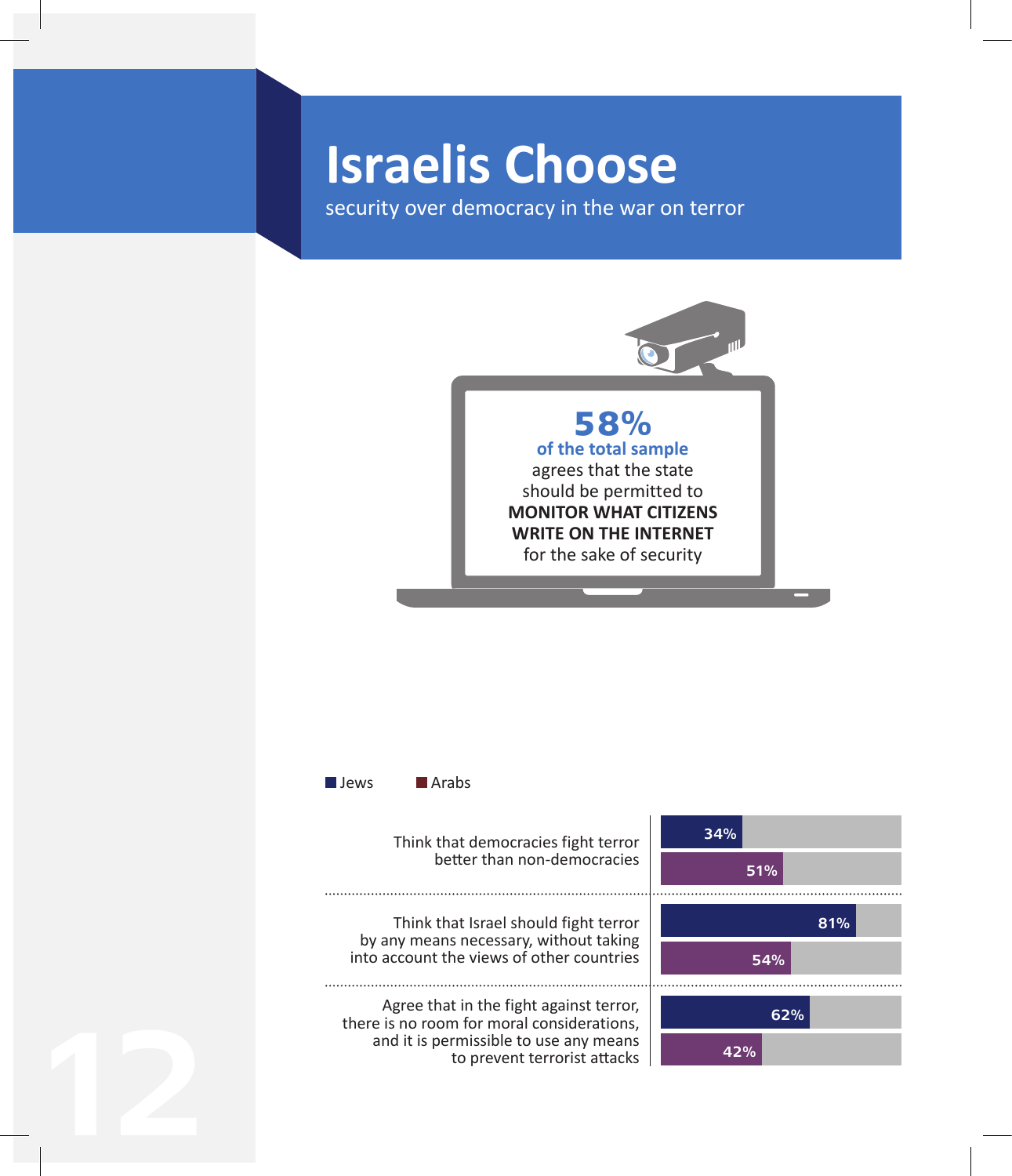# **Israelis Choose**

12

security over democracy in the war on terror

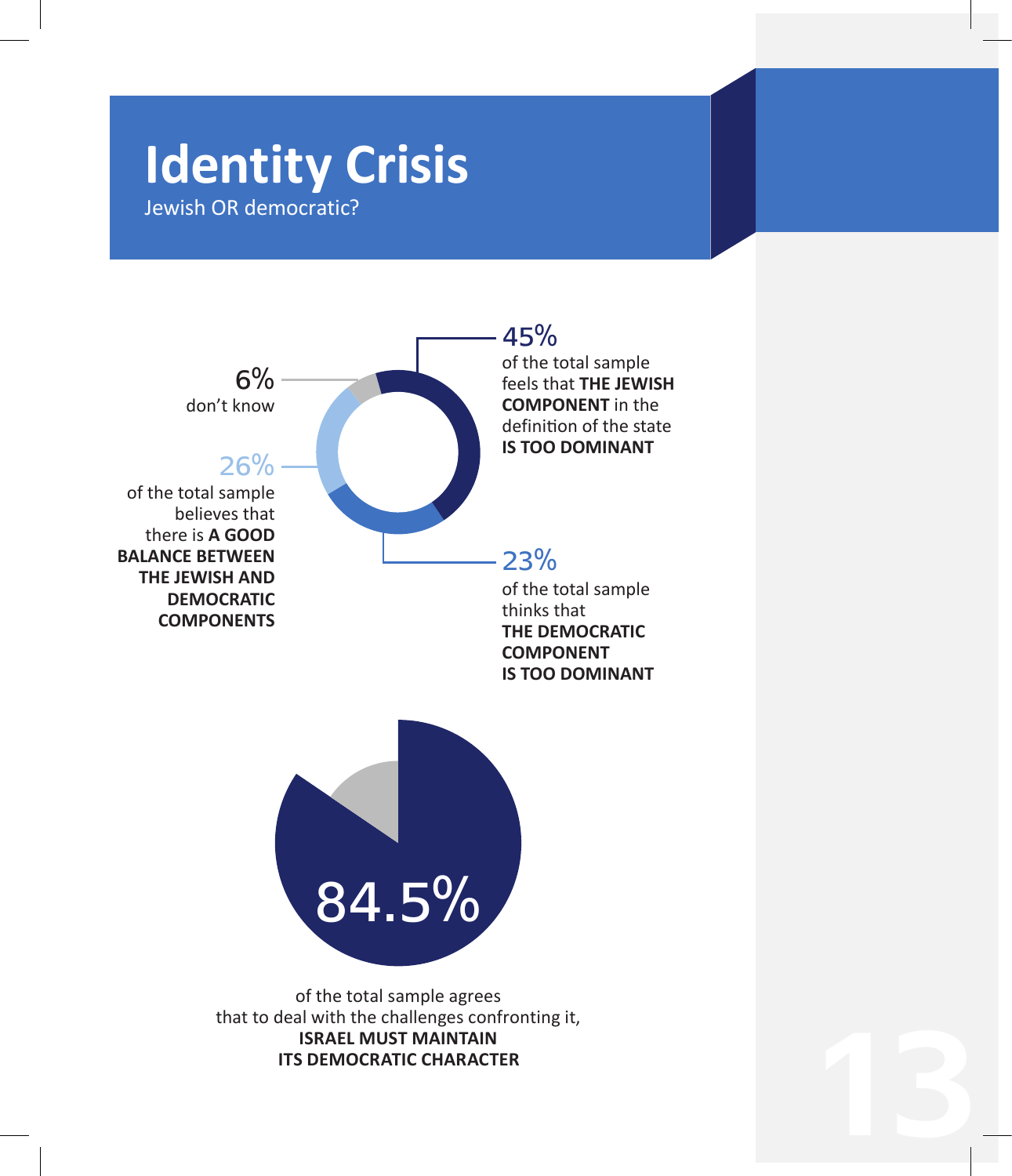# **Identity Crisis**

Jewish OR democratic?

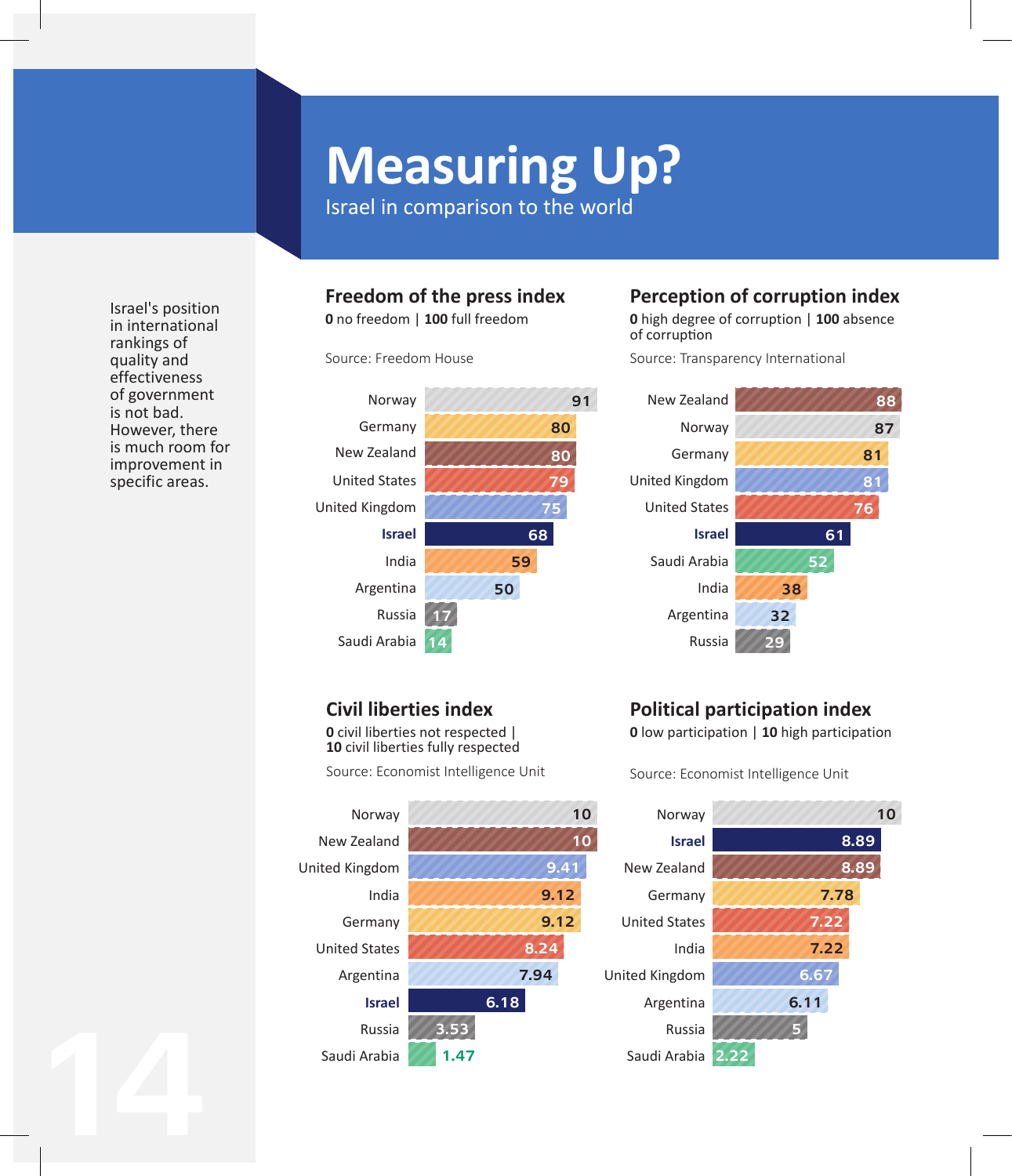# **Measuring Up?**

Israel in comparison to the world

#### Israel's position in international rankings of quality and effectiveness of government is not bad. However, there is much room for improvement in specific areas.

14

#### **Freedom of the press index**

**0** no freedom | **100** full freedom

Source: Freedom House



### **Perception of corruption index**

**0** high degree of corruption | **100** absence of corruption

Source: Transparency International



### **Civil liberties index**

**0** civil liberties not respected | **10** civil liberties fully respected

Source: Economist Intelligence Unit



## **Political participation index**

**0** low participation | **10** high participation

Source: Economist Intelligence Unit

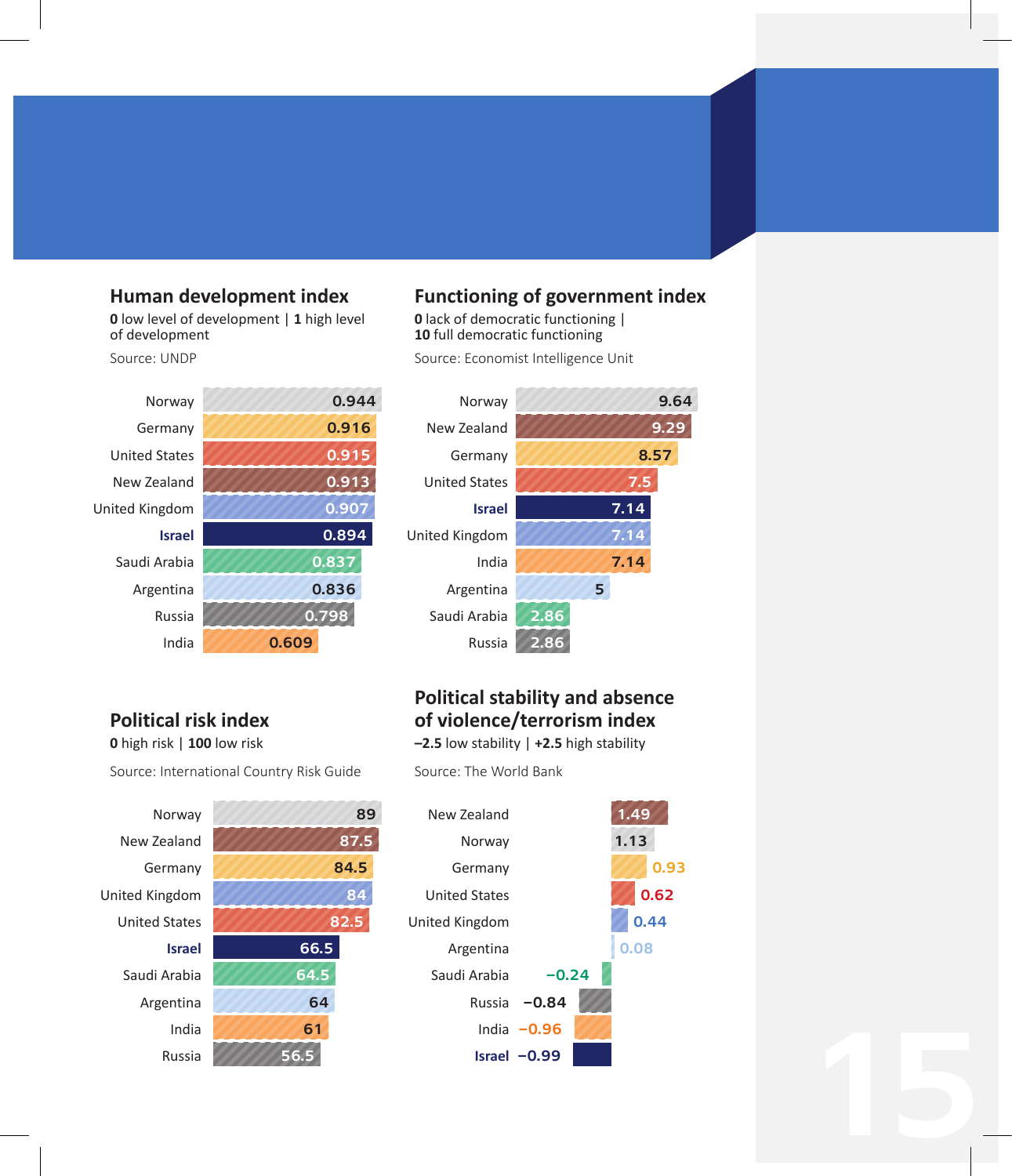#### **Human development index**

**0** low level of development | **1** high level of development

Source: UNDP



#### **Functioning of government index**

**0** lack of democratic functioning | **10** full democratic functioning

Source: Economist Intelligence Unit



### **Political risk index**

**0** high risk | **100** low risk

Source: International Country Risk Guide





**–2.5** low stability | **+2.5** high stability

Source: The World Bank